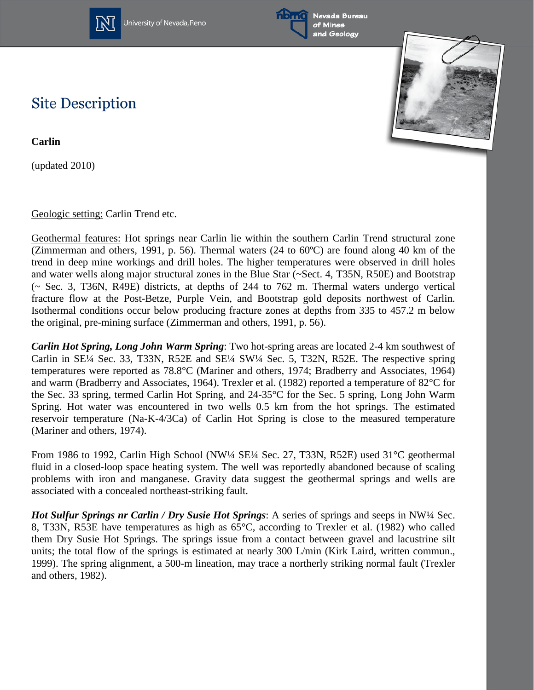

University of Nevada, Reno



Nevada Bureau and Geology



## **Site Description**

**Carlin**

(updated 2010)

Geologic setting: Carlin Trend etc.

Geothermal features: Hot springs near Carlin lie within the southern Carlin Trend structural zone (Zimmerman and others, 1991, p. 56). Thermal waters (24 to  $60^{\circ}$ C) are found along 40 km of the trend in deep mine workings and drill holes. The higher temperatures were observed in drill holes and water wells along major structural zones in the Blue Star (~Sect. 4, T35N, R50E) and Bootstrap (~ Sec. 3, T36N, R49E) districts, at depths of 244 to 762 m. Thermal waters undergo vertical fracture flow at the Post-Betze, Purple Vein, and Bootstrap gold deposits northwest of Carlin. Isothermal conditions occur below producing fracture zones at depths from 335 to 457.2 m below the original, pre-mining surface (Zimmerman and others, 1991, p. 56).

*Carlin Hot Spring, Long John Warm Spring*: Two hot-spring areas are located 2-4 km southwest of Carlin in SE¼ Sec. 33, T33N, R52E and SE¼ SW¼ Sec. 5, T32N, R52E. The respective spring temperatures were reported as 78.8°C (Mariner and others, 1974; Bradberry and Associates, 1964) and warm (Bradberry and Associates, 1964). Trexler et al. (1982) reported a temperature of 82°C for the Sec. 33 spring, termed Carlin Hot Spring, and 24-35°C for the Sec. 5 spring, Long John Warm Spring. Hot water was encountered in two wells 0.5 km from the hot springs. The estimated reservoir temperature (Na-K-4/3Ca) of Carlin Hot Spring is close to the measured temperature (Mariner and others, 1974).

From 1986 to 1992, Carlin High School (NW¼ SE¼ Sec. 27, T33N, R52E) used 31°C geothermal fluid in a closed-loop space heating system. The well was reportedly abandoned because of scaling problems with iron and manganese. Gravity data suggest the geothermal springs and wells are associated with a concealed northeast-striking fault.

*Hot Sulfur Springs nr Carlin / Dry Susie Hot Springs*: A series of springs and seeps in NW¼ Sec. 8, T33N, R53E have temperatures as high as 65°C, according to Trexler et al. (1982) who called them Dry Susie Hot Springs. The springs issue from a contact between gravel and lacustrine silt units; the total flow of the springs is estimated at nearly 300 L/min (Kirk Laird, written commun., 1999). The spring alignment, a 500-m lineation, may trace a northerly striking normal fault (Trexler and others, 1982).